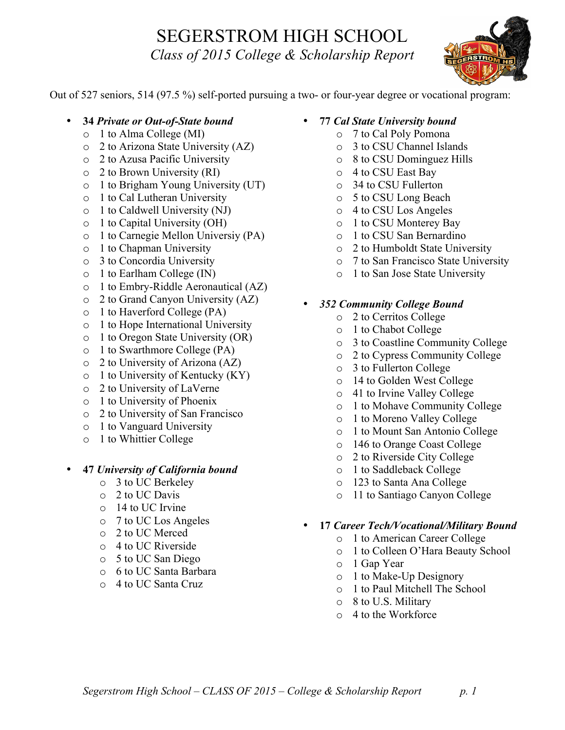## SEGERSTROM HIGH SCHOOL *Class of 2015 College & Scholarship Report*



Out of 527 seniors, 514 (97.5 %) self-ported pursuing a two- or four-year degree or vocational program:

- **34** *Private or Out-of-State bound*
	- o 1 to Alma College (MI)
	- o 2 to Arizona State University (AZ)
	- o 2 to Azusa Pacific University
	- o 2 to Brown University (RI)
	- o 1 to Brigham Young University (UT)
	- o 1 to Cal Lutheran University
	- o 1 to Caldwell University (NJ)
	- o 1 to Capital University (OH)
	- o 1 to Carnegie Mellon Universiy (PA)
	- o 1 to Chapman University
	- o 3 to Concordia University
	- o 1 to Earlham College (IN)
	- o 1 to Embry-Riddle Aeronautical (AZ)
	- o 2 to Grand Canyon University (AZ)
	- o 1 to Haverford College (PA)
	- o 1 to Hope International University
	- o 1 to Oregon State University (OR)
	- o 1 to Swarthmore College (PA)
	- o 2 to University of Arizona (AZ)
	- $\circ$  1 to University of Kentucky (KY)
	- o 2 to University of LaVerne
	- o 1 to University of Phoenix
	- o 2 to University of San Francisco
	- o 1 to Vanguard University
	- o 1 to Whittier College

## • **47** *University of California bound*

- o 3 to UC Berkeley
- o 2 to UC Davis
- o 14 to UC Irvine
- o 7 to UC Los Angeles
- o 2 to UC Merced
- o 4 to UC Riverside
- o 5 to UC San Diego
- o 6 to UC Santa Barbara
- o 4 to UC Santa Cruz
- **77** *Cal State University bound*
	- o 7 to Cal Poly Pomona
	- o 3 to CSU Channel Islands
	- o 8 to CSU Dominguez Hills
	- o 4 to CSU East Bay
	- o 34 to CSU Fullerton
	- o 5 to CSU Long Beach
	- o 4 to CSU Los Angeles
	- o 1 to CSU Monterey Bay
	- o 1 to CSU San Bernardino
	- o 2 to Humboldt State University
	- o 7 to San Francisco State University
	- o 1 to San Jose State University
- *352 Community College Bound*
	- o 2 to Cerritos College
	- o 1 to Chabot College
	- o 3 to Coastline Community College
	- o 2 to Cypress Community College
	- o 3 to Fullerton College
	- o 14 to Golden West College
	- o 41 to Irvine Valley College
	- o 1 to Mohave Community College
	- o 1 to Moreno Valley College
	- o 1 to Mount San Antonio College
	- o 146 to Orange Coast College
	- o 2 to Riverside City College
	- o 1 to Saddleback College
	- o 123 to Santa Ana College
	- o 11 to Santiago Canyon College
- **17** *Career Tech/Vocational/Military Bound*
	- o 1 to American Career College
	- o 1 to Colleen O'Hara Beauty School
	- o 1 Gap Year
	- o 1 to Make-Up Designory
	- o 1 to Paul Mitchell The School
	- o 8 to U.S. Military
	- o 4 to the Workforce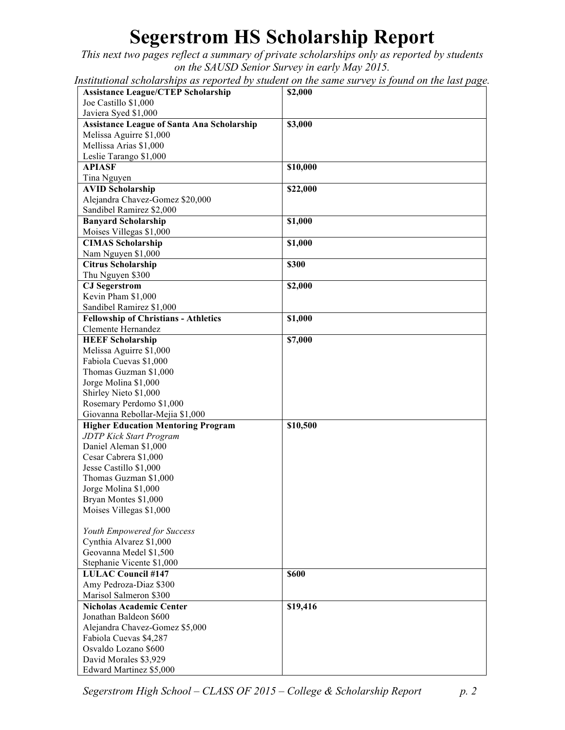## **Segerstrom HS Scholarship Report**

*This next two pages reflect a summary of private scholarships only as reported by students on the SAUSD Senior Survey in early May 2015.* 

*Institutional scholarships as reported by student on the same survey is found on the last page.*

| <b>Assistance League/CTEP Scholarship</b>         | \$2,000  |
|---------------------------------------------------|----------|
| Joe Castillo \$1,000                              |          |
| Javiera Syed \$1,000                              |          |
| <b>Assistance League of Santa Ana Scholarship</b> | \$3,000  |
| Melissa Aguirre \$1,000                           |          |
| Mellissa Arias \$1,000                            |          |
| Leslie Tarango \$1,000                            |          |
| <b>APIASF</b>                                     | \$10,000 |
| Tina Nguyen                                       |          |
| <b>AVID Scholarship</b>                           | \$22,000 |
| Alejandra Chavez-Gomez \$20,000                   |          |
| Sandibel Ramirez \$2,000                          |          |
| <b>Banyard Scholarship</b>                        | \$1,000  |
| Moises Villegas \$1,000                           |          |
| <b>CIMAS Scholarship</b>                          | \$1,000  |
|                                                   |          |
| Nam Nguyen \$1,000                                |          |
| <b>Citrus Scholarship</b>                         | \$300    |
| Thu Nguyen \$300                                  |          |
| <b>CJ</b> Segerstrom                              | \$2,000  |
| Kevin Pham \$1,000                                |          |
| Sandibel Ramirez \$1,000                          |          |
| <b>Fellowship of Christians - Athletics</b>       | \$1,000  |
| Clemente Hernandez                                |          |
| <b>HEEF Scholarship</b>                           | \$7,000  |
| Melissa Aguirre \$1,000                           |          |
| Fabiola Cuevas \$1,000                            |          |
| Thomas Guzman \$1,000                             |          |
| Jorge Molina \$1,000                              |          |
| Shirley Nieto \$1,000                             |          |
| Rosemary Perdomo \$1,000                          |          |
| Giovanna Rebollar-Mejia \$1,000                   |          |
| <b>Higher Education Mentoring Program</b>         | \$10,500 |
| <b>JDTP Kick Start Program</b>                    |          |
| Daniel Aleman \$1,000                             |          |
| Cesar Cabrera \$1,000                             |          |
| Jesse Castillo \$1,000                            |          |
| Thomas Guzman \$1,000                             |          |
| Jorge Molina \$1,000                              |          |
| Bryan Montes \$1,000                              |          |
| Moises Villegas \$1,000                           |          |
|                                                   |          |
| Youth Empowered for Success                       |          |
| Cynthia Alvarez \$1,000                           |          |
| Geovanna Medel \$1,500                            |          |
| Stephanie Vicente \$1,000                         |          |
| <b>LULAC Council #147</b>                         | \$600    |
| Amy Pedroza-Diaz \$300                            |          |
| Marisol Salmeron \$300                            |          |
| <b>Nicholas Academic Center</b>                   | \$19,416 |
| Jonathan Baldeon \$600                            |          |
| Alejandra Chavez-Gomez \$5,000                    |          |
| Fabiola Cuevas \$4,287                            |          |
| Osvaldo Lozano \$600                              |          |
| David Morales \$3,929                             |          |
| Edward Martinez \$5,000                           |          |

*Segerstrom High School – CLASS OF 2015 – College & Scholarship Report p. 2*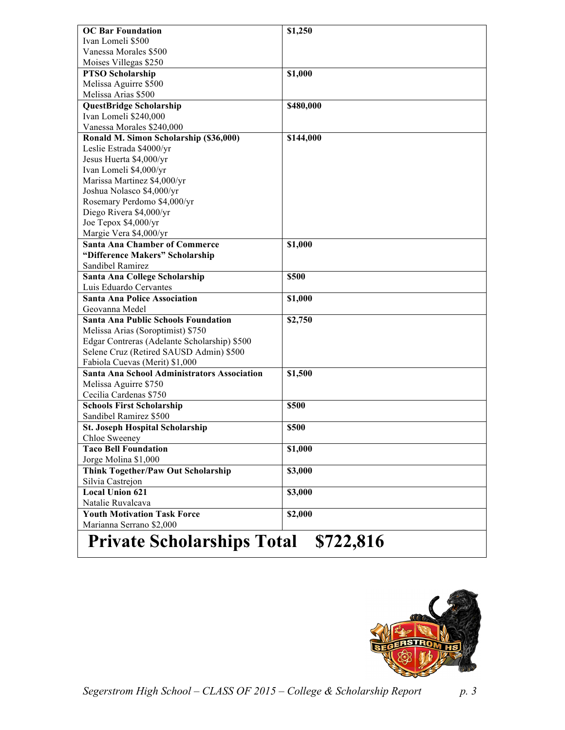| <b>OC Bar Foundation</b>                     | \$1,250   |
|----------------------------------------------|-----------|
| Ivan Lomeli \$500                            |           |
| Vanessa Morales \$500                        |           |
| Moises Villegas \$250                        |           |
| <b>PTSO Scholarship</b>                      | \$1,000   |
| Melissa Aguirre \$500                        |           |
| Melissa Arias \$500                          |           |
| <b>QuestBridge Scholarship</b>               | \$480,000 |
| Ivan Lomeli \$240,000                        |           |
| Vanessa Morales \$240,000                    |           |
| Ronald M. Simon Scholarship (\$36,000)       | \$144,000 |
| Leslie Estrada \$4000/yr                     |           |
| Jesus Huerta \$4,000/yr                      |           |
| Ivan Lomeli \$4,000/yr                       |           |
| Marissa Martinez \$4,000/yr                  |           |
| Joshua Nolasco \$4,000/yr                    |           |
| Rosemary Perdomo \$4,000/yr                  |           |
| Diego Rivera \$4,000/yr                      |           |
| Joe Tepox \$4,000/yr                         |           |
| Margie Vera \$4,000/yr                       |           |
| <b>Santa Ana Chamber of Commerce</b>         | \$1,000   |
| "Difference Makers" Scholarship              |           |
| Sandibel Ramirez                             |           |
| Santa Ana College Scholarship                | \$500     |
| Luis Eduardo Cervantes                       |           |
| <b>Santa Ana Police Association</b>          | \$1,000   |
| Geovanna Medel                               |           |
| <b>Santa Ana Public Schools Foundation</b>   | \$2,750   |
| Melissa Arias (Soroptimist) \$750            |           |
| Edgar Contreras (Adelante Scholarship) \$500 |           |
| Selene Cruz (Retired SAUSD Admin) \$500      |           |
| Fabiola Cuevas (Merit) \$1,000               |           |
| Santa Ana School Administrators Association  | \$1,500   |
| Melissa Aguirre \$750                        |           |
| Cecilia Cardenas \$750                       |           |
| <b>Schools First Scholarship</b>             | \$500     |
| Sandibel Ramirez \$500                       |           |
| <b>St. Joseph Hospital Scholarship</b>       | \$500     |
| Chloe Sweeney                                |           |
| <b>Taco Bell Foundation</b>                  | \$1,000   |
| Jorge Molina \$1,000                         |           |
| Think Together/Paw Out Scholarship           | \$3,000   |
| Silvia Castrejon                             |           |
| <b>Local Union 621</b>                       | \$3,000   |
| Natalie Ruvalcava                            |           |
| <b>Youth Motivation Task Force</b>           | \$2,000   |
| Marianna Serrano \$2,000                     |           |
| m                                            |           |

## **Private Scholarships Total \$722,816**